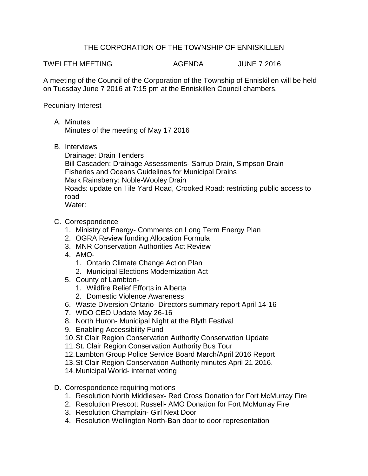## THE CORPORATION OF THE TOWNSHIP OF ENNISKILLEN

TWELFTH MEETING AGENDA JUNE 7 2016

A meeting of the Council of the Corporation of the Township of Enniskillen will be held on Tuesday June 7 2016 at 7:15 pm at the Enniskillen Council chambers.

Pecuniary Interest

A. Minutes

Minutes of the meeting of May 17 2016

B. Interviews

Drainage: Drain Tenders Bill Cascaden: Drainage Assessments- Sarrup Drain, Simpson Drain Fisheries and Oceans Guidelines for Municipal Drains Mark Rainsberry: Noble-Wooley Drain Roads: update on Tile Yard Road, Crooked Road: restricting public access to road Water:

- C. Correspondence
	- 1. Ministry of Energy- Comments on Long Term Energy Plan
	- 2. OGRA Review funding Allocation Formula
	- 3. MNR Conservation Authorities Act Review
	- 4. AMO-
		- 1. Ontario Climate Change Action Plan
		- 2. Municipal Elections Modernization Act
	- 5. County of Lambton-
		- 1. Wildfire Relief Efforts in Alberta
		- 2. Domestic Violence Awareness
	- 6. Waste Diversion Ontario- Directors summary report April 14-16
	- 7. WDO CEO Update May 26-16
	- 8. North Huron- Municipal Night at the Blyth Festival
	- 9. Enabling Accessibility Fund
	- 10.St Clair Region Conservation Authority Conservation Update
	- 11.St. Clair Region Conservation Authority Bus Tour
	- 12.Lambton Group Police Service Board March/April 2016 Report
	- 13.St Clair Region Conservation Authority minutes April 21 2016.
	- 14.Municipal World- internet voting
- D. Correspondence requiring motions
	- 1. Resolution North Middlesex- Red Cross Donation for Fort McMurray Fire
	- 2. Resolution Prescott Russell- AMO Donation for Fort McMurray Fire
	- 3. Resolution Champlain- Girl Next Door
	- 4. Resolution Wellington North-Ban door to door representation